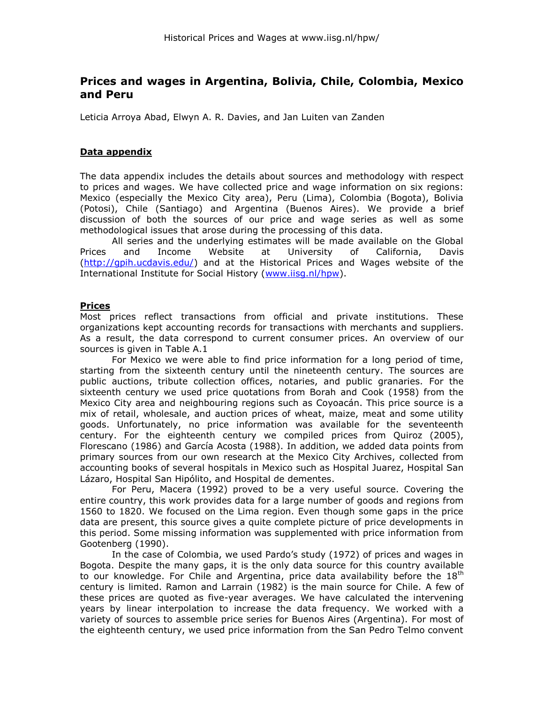# **Prices and wages in Argentina, Bolivia, Chile, Colombia, Mexico and Peru**

Leticia Arroya Abad, Elwyn A. R. Davies, and Jan Luiten van Zanden

## **Data appendix**

The data appendix includes the details about sources and methodology with respect to prices and wages. We have collected price and wage information on six regions: Mexico (especially the Mexico City area), Peru (Lima), Colombia (Bogota), Bolivia (Potosi), Chile (Santiago) and Argentina (Buenos Aires). We provide a brief discussion of both the sources of our price and wage series as well as some methodological issues that arose during the processing of this data.

All series and the underlying estimates will be made available on the Global Prices and Income Website at University of California, Davis (http://qpih.ucdavis.edu/) and at the Historical Prices and Wages website of the International Institute for Social History [\(www.iisg.nl/hpw\)](http://www.iisg.nl/hpw).

### **Prices**

Most prices reflect transactions from official and private institutions. These organizations kept accounting records for transactions with merchants and suppliers. As a result, the data correspond to current consumer prices. An overview of our sources is given in Table A.1

For Mexico we were able to find price information for a long period of time, starting from the sixteenth century until the nineteenth century. The sources are public auctions, tribute collection offices, notaries, and public granaries. For the sixteenth century we used price quotations from Borah and Cook (1958) from the Mexico City area and neighbouring regions such as Coyoacán. This price source is a mix of retail, wholesale, and auction prices of wheat, maize, meat and some utility goods. Unfortunately, no price information was available for the seventeenth century. For the eighteenth century we compiled prices from Quiroz (2005), Florescano (1986) and García Acosta (1988). In addition, we added data points from primary sources from our own research at the Mexico City Archives, collected from accounting books of several hospitals in Mexico such as Hospital Juarez, Hospital San Lázaro, Hospital San Hipólito, and Hospital de dementes.

For Peru, Macera (1992) proved to be a very useful source. Covering the entire country, this work provides data for a large number of goods and regions from 1560 to 1820. We focused on the Lima region. Even though some gaps in the price data are present, this source gives a quite complete picture of price developments in this period. Some missing information was supplemented with price information from Gootenberg (1990).

In the case of Colombia, we used Pardo"s study (1972) of prices and wages in Bogota. Despite the many gaps, it is the only data source for this country available to our knowledge. For Chile and Argentina, price data availability before the  $18<sup>th</sup>$ century is limited. Ramon and Larrain (1982) is the main source for Chile. A few of these prices are quoted as five-year averages. We have calculated the intervening years by linear interpolation to increase the data frequency. We worked with a variety of sources to assemble price series for Buenos Aires (Argentina). For most of the eighteenth century, we used price information from the San Pedro Telmo convent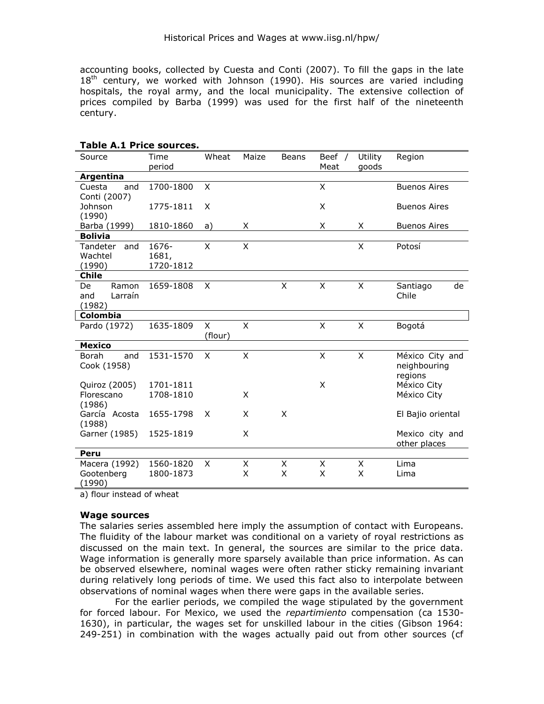accounting books, collected by Cuesta and Conti (2007). To fill the gaps in the late  $18<sup>th</sup>$  century, we worked with Johnson (1990). His sources are varied including hospitals, the royal army, and the local municipality. The extensive collection of prices compiled by Barba (1999) was used for the first half of the nineteenth century.

| <b>Table A.1 Price sources.</b>         |                             |                         |              |        |                |                  |                                            |  |  |  |
|-----------------------------------------|-----------------------------|-------------------------|--------------|--------|----------------|------------------|--------------------------------------------|--|--|--|
| Source                                  | Time<br>period              | Wheat                   | Maize        | Beans  | Beef /<br>Meat | Utility<br>goods | Region                                     |  |  |  |
| Argentina                               |                             |                         |              |        |                |                  |                                            |  |  |  |
| Cuesta<br>and<br>Conti (2007)           | 1700-1800                   | X                       |              |        | X              |                  | <b>Buenos Aires</b>                        |  |  |  |
| Johnson<br>(1990)                       | 1775-1811                   | X                       |              |        | X              |                  | <b>Buenos Aires</b>                        |  |  |  |
| Barba (1999)                            | 1810-1860                   | a)                      | X            |        | X              | Χ                | <b>Buenos Aires</b>                        |  |  |  |
| <b>Bolivia</b>                          |                             |                         |              |        |                |                  |                                            |  |  |  |
| Tandeter<br>and<br>Wachtel<br>(1990)    | 1676-<br>1681,<br>1720-1812 | X                       | X            |        |                | X                | Potosí                                     |  |  |  |
| <b>Chile</b>                            |                             |                         |              |        |                |                  |                                            |  |  |  |
| Ramon<br>De<br>Larraín<br>and<br>(1982) | 1659-1808                   | X                       |              | X      | X              | X                | Santiago<br>de<br>Chile                    |  |  |  |
| Colombia                                |                             |                         |              |        |                |                  |                                            |  |  |  |
| Pardo (1972)                            | 1635-1809                   | $\mathsf{X}$<br>(flour) | $\mathsf{x}$ |        | X              | $\mathsf{X}$     | Bogotá                                     |  |  |  |
| <b>Mexico</b>                           |                             |                         |              |        |                |                  |                                            |  |  |  |
| Borah<br>and<br>Cook (1958)             | 1531-1570                   | X                       | X            |        | X              | X                | México City and<br>neighbouring<br>regions |  |  |  |
| Quiroz (2005)<br>Florescano<br>(1986)   | 1701-1811<br>1708-1810      |                         | X            |        | X              |                  | México City<br>México City                 |  |  |  |
| García Acosta<br>(1988)                 | 1655-1798                   | X                       | X            | X      |                |                  | El Bajio oriental                          |  |  |  |
| Garner (1985)                           | 1525-1819                   |                         | X            |        |                |                  | Mexico city and<br>other places            |  |  |  |
| Peru                                    |                             |                         |              |        |                |                  |                                            |  |  |  |
| Macera (1992)<br>Gootenberg<br>(1990)   | 1560-1820<br>1800-1873      | X                       | X<br>X       | X<br>X | X<br>X         | X<br>X           | Lima<br>Lima                               |  |  |  |

a) flour instead of wheat

#### **Wage sources**

The salaries series assembled here imply the assumption of contact with Europeans. The fluidity of the labour market was conditional on a variety of royal restrictions as discussed on the main text. In general, the sources are similar to the price data. Wage information is generally more sparsely available than price information. As can be observed elsewhere, nominal wages were often rather sticky remaining invariant during relatively long periods of time. We used this fact also to interpolate between observations of nominal wages when there were gaps in the available series.

For the earlier periods, we compiled the wage stipulated by the government for forced labour. For Mexico, we used the *repartimiento* compensation (ca 1530- 1630), in particular, the wages set for unskilled labour in the cities (Gibson 1964: 249-251) in combination with the wages actually paid out from other sources (cf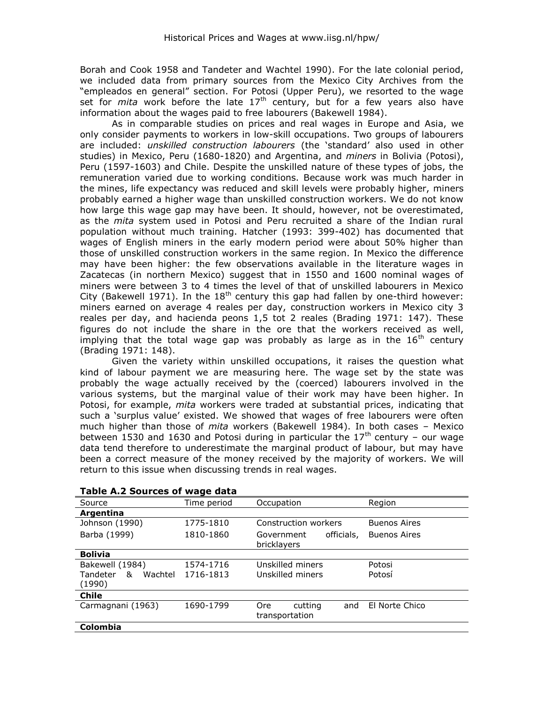Borah and Cook 1958 and Tandeter and Wachtel 1990). For the late colonial period, we included data from primary sources from the Mexico City Archives from the "empleados en general" section. For Potosi (Upper Peru), we resorted to the wage set for *mita* work before the late 17th century, but for a few years also have information about the wages paid to free labourers (Bakewell 1984).

As in comparable studies on prices and real wages in Europe and Asia, we only consider payments to workers in low-skill occupations. Two groups of labourers are included: *unskilled construction labourers* (the "standard" also used in other studies) in Mexico, Peru (1680-1820) and Argentina, and *miners* in Bolivia (Potosi), Peru (1597-1603) and Chile. Despite the unskilled nature of these types of jobs, the remuneration varied due to working conditions. Because work was much harder in the mines, life expectancy was reduced and skill levels were probably higher, miners probably earned a higher wage than unskilled construction workers. We do not know how large this wage gap may have been. It should, however, not be overestimated, as the *mita* system used in Potosi and Peru recruited a share of the Indian rural population without much training. Hatcher (1993: 399-402) has documented that wages of English miners in the early modern period were about 50% higher than those of unskilled construction workers in the same region. In Mexico the difference may have been higher: the few observations available in the literature wages in Zacatecas (in northern Mexico) suggest that in 1550 and 1600 nominal wages of miners were between 3 to 4 times the level of that of unskilled labourers in Mexico City (Bakewell 1971). In the  $18<sup>th</sup>$  century this gap had fallen by one-third however: miners earned on average 4 reales per day, construction workers in Mexico city 3 reales per day, and hacienda peons 1,5 tot 2 reales (Brading 1971: 147). These figures do not include the share in the ore that the workers received as well, implying that the total wage gap was probably as large as in the  $16<sup>th</sup>$  century (Brading 1971: 148).

Given the variety within unskilled occupations, it raises the question what kind of labour payment we are measuring here. The wage set by the state was probably the wage actually received by the (coerced) labourers involved in the various systems, but the marginal value of their work may have been higher. In Potosi, for example, *mita* workers were traded at substantial prices, indicating that such a "surplus value" existed. We showed that wages of free labourers were often much higher than those of *mita* workers (Bakewell 1984). In both cases – Mexico between 1530 and 1630 and Potosi during in particular the  $17<sup>th</sup>$  century – our wage data tend therefore to underestimate the marginal product of labour, but may have been a correct measure of the money received by the majority of workers. We will return to this issue when discussing trends in real wages.

| Source                   | Time period | Occupation               | Region              |  |  |
|--------------------------|-------------|--------------------------|---------------------|--|--|
| Argentina                |             |                          |                     |  |  |
| Johnson (1990)           | 1775-1810   | Construction workers     | <b>Buenos Aires</b> |  |  |
| Barba (1999)             | 1810-1860   | officials,<br>Government | <b>Buenos Aires</b> |  |  |
|                          |             | bricklayers              |                     |  |  |
| <b>Bolivia</b>           |             |                          |                     |  |  |
| Bakewell (1984)          | 1574-1716   | Unskilled miners         | Potosi              |  |  |
| Tandeter<br>Wachtel<br>& | 1716-1813   | Unskilled miners         | Potosí              |  |  |
| (1990)                   |             |                          |                     |  |  |
| <b>Chile</b>             |             |                          |                     |  |  |
| Carmagnani (1963)        | 1690-1799   | cutting<br>Ore<br>and    | El Norte Chico      |  |  |
|                          |             | transportation           |                     |  |  |
| <b>Colombia</b>          |             |                          |                     |  |  |

| Table A.2 Sources of wage data |  |
|--------------------------------|--|
|--------------------------------|--|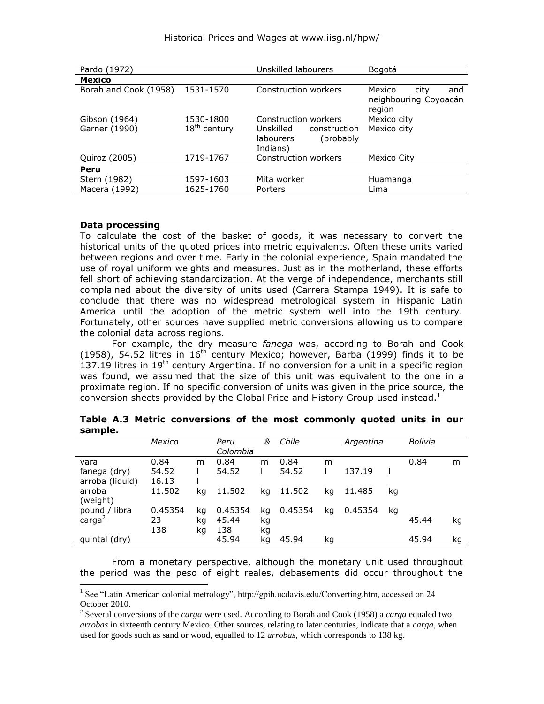| Pardo (1972)          |                          | Unskilled labourers                                              | Bogotá                                                   |  |  |  |
|-----------------------|--------------------------|------------------------------------------------------------------|----------------------------------------------------------|--|--|--|
| <b>Mexico</b>         |                          |                                                                  |                                                          |  |  |  |
| Borah and Cook (1958) | 1531-1570                | Construction workers                                             | México<br>city<br>and<br>neighbouring Coyoacán<br>region |  |  |  |
| Gibson (1964)         | 1530-1800                | Construction workers                                             | Mexico city                                              |  |  |  |
| Garner (1990)         | 18 <sup>th</sup> century | Unskilled<br>construction<br>(probably)<br>labourers<br>Indians) | Mexico city                                              |  |  |  |
| Quiroz (2005)         | 1719-1767                | Construction workers                                             | México City                                              |  |  |  |
| Peru                  |                          |                                                                  |                                                          |  |  |  |
| Stern (1982)          | 1597-1603                | Mita worker                                                      | Huamanga                                                 |  |  |  |
| Macera (1992)         | 1625-1760                | Porters                                                          | Lima                                                     |  |  |  |

#### **Data processing**

-

To calculate the cost of the basket of goods, it was necessary to convert the historical units of the quoted prices into metric equivalents. Often these units varied between regions and over time. Early in the colonial experience, Spain mandated the use of royal uniform weights and measures. Just as in the motherland, these efforts fell short of achieving standardization. At the verge of independence, merchants still complained about the diversity of units used (Carrera Stampa 1949). It is safe to conclude that there was no widespread metrological system in Hispanic Latin America until the adoption of the metric system well into the 19th century. Fortunately, other sources have supplied metric conversions allowing us to compare the colonial data across regions.

For example, the dry measure *fanega* was, according to Borah and Cook (1958), 54.52 litres in  $16<sup>th</sup>$  century Mexico; however, Barba (1999) finds it to be  $137.19$  litres in  $19<sup>th</sup>$  century Argentina. If no conversion for a unit in a specific region was found, we assumed that the size of this unit was equivalent to the one in a proximate region. If no specific conversion of units was given in the price source, the conversion sheets provided by the Global Price and History Group used instead.<sup>1</sup>

| .                                     |                      |                |                         |                |               |    |           |    |         |    |
|---------------------------------------|----------------------|----------------|-------------------------|----------------|---------------|----|-----------|----|---------|----|
|                                       | Mexico               |                | Peru<br>Colombia        | &              | Chile         |    | Argentina |    | Bolivia |    |
| vara<br>fanega (dry)                  | 0.84<br>54.52        | m              | 0.84<br>54.52           | m              | 0.84<br>54.52 | m  | 137.19    |    | 0.84    | m  |
| arroba (liquid)<br>arroba<br>(weight) | 16.13<br>11.502      | kq             | 11.502                  | kq             | 11.502        | kq | 11.485    | kq |         |    |
| pound / libra<br>carga <sup>2</sup>   | 0.45354<br>23<br>138 | kq<br>kg<br>kg | 0.45354<br>45.44<br>138 | kg<br>kg<br>kg | 0.45354       | kq | 0.45354   | kq | 45.44   | kg |
| quintal (dry)                         |                      |                | 45.94                   | kg             | 45.94         | kg |           |    | 45.94   | kg |

|         | Table A.3 Metric conversions of the most commonly quoted units in our |  |  |  |  |
|---------|-----------------------------------------------------------------------|--|--|--|--|
| sample. |                                                                       |  |  |  |  |

From a monetary perspective, although the monetary unit used throughout the period was the peso of eight reales, debasements did occur throughout the

<sup>&</sup>lt;sup>1</sup> See "Latin American colonial metrology", http://gpih.ucdavis.edu/Converting.htm, accessed on 24 October 2010.

<sup>2</sup> Several conversions of the *carga* were used. According to Borah and Cook (1958) a *carga* equaled two *arrobas* in sixteenth century Mexico. Other sources, relating to later centuries, indicate that a *carga*, when used for goods such as sand or wood, equalled to 12 *arrobas*, which corresponds to 138 kg.